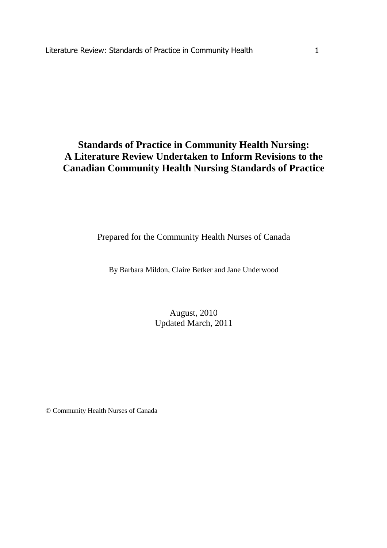# **Standards of Practice in Community Health Nursing: A Literature Review Undertaken to Inform Revisions to the Canadian Community Health Nursing Standards of Practice**

Prepared for the Community Health Nurses of Canada

By Barbara Mildon, Claire Betker and Jane Underwood

# August, 2010 Updated March, 2011

© Community Health Nurses of Canada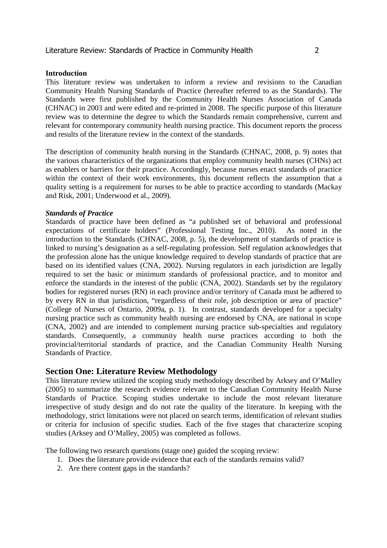#### **Introduction**

This literature review was undertaken to inform a review and revisions to the Canadian Community Health Nursing Standards of Practice (hereafter referred to as the Standards). The Standards were first published by the Community Health Nurses Association of Canada (CHNAC) in 2003 and were edited and re-printed in 2008. The specific purpose of this literature review was to determine the degree to which the Standards remain comprehensive, current and relevant for contemporary community health nursing practice. This document reports the process and results of the literature review in the context of the standards.

The description of community health nursing in the Standards (CHNAC, 2008, p. 9) notes that the various characteristics of the organizations that employ community health nurses (CHNs) act as enablers or barriers for their practice. Accordingly, because nurses enact standards of practice within the context of their work environments, this document reflects the assumption that a quality setting is a requirement for nurses to be able to practice according to standards (Mackay and Risk, 2001; Underwood et al., 2009).

#### *Standards of Practice*

Standards of practice have been defined as "a published set of behavioral and professional expectations of certificate holders" (Professional Testing Inc., 2010). As noted in the introduction to the Standards (CHNAC, 2008, p. 5), the development of standards of practice is linked to nursing's designation as a self-regulating profession. Self regulation acknowledges that the profession alone has the unique knowledge required to develop standards of practice that are based on its identified values (CNA, 2002). Nursing regulators in each jurisdiction are legally required to set the basic or minimum standards of professional practice, and to monitor and enforce the standards in the interest of the public (CNA, 2002). Standards set by the regulatory bodies for registered nurses (RN) in each province and/or territory of Canada must be adhered to by every RN in that jurisdiction, "regardless of their role, job description or area of practice" (College of Nurses of Ontario, 2009a, p. 1). In contrast, standards developed for a specialty nursing practice such as community health nursing are endorsed by CNA, are national in scope (CNA, 2002) and are intended to complement nursing practice sub-specialties and regulatory standards. Consequently, a community health nurse practices according to both the provincial/territorial standards of practice, and the Canadian Community Health Nursing Standards of Practice.

# **Section One: Literature Review Methodology**

This literature review utilized the scoping study methodology described by Arksey and O'Malley (2005) to summarize the research evidence relevant to the Canadian Community Health Nurse Standards of Practice. Scoping studies undertake to include the most relevant literature irrespective of study design and do not rate the quality of the literature. In keeping with the methodology, strict limitations were not placed on search terms, identification of relevant studies or criteria for inclusion of specific studies. Each of the five stages that characterize scoping studies (Arksey and O'Malley, 2005) was completed as follows.

The following two research questions (stage one) guided the scoping review:

- 1. Does the literature provide evidence that each of the standards remains valid?
- 2. Are there content gaps in the standards?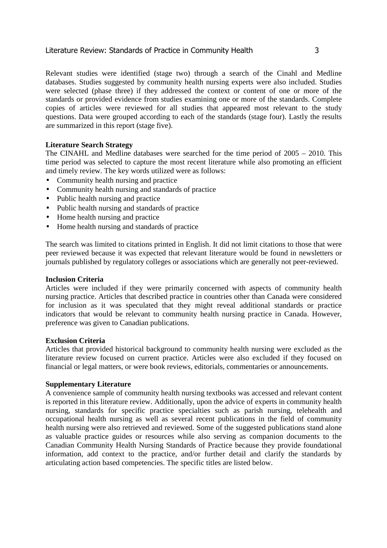Relevant studies were identified (stage two) through a search of the Cinahl and Medline databases. Studies suggested by community health nursing experts were also included. Studies were selected (phase three) if they addressed the context or content of one or more of the standards or provided evidence from studies examining one or more of the standards. Complete copies of articles were reviewed for all studies that appeared most relevant to the study questions. Data were grouped according to each of the standards (stage four). Lastly the results are summarized in this report (stage five).

# **Literature Search Strategy**

The CINAHL and Medline databases were searched for the time period of 2005 – 2010. This time period was selected to capture the most recent literature while also promoting an efficient and timely review. The key words utilized were as follows:

- Community health nursing and practice
- Community health nursing and standards of practice
- Public health nursing and practice
- Public health nursing and standards of practice
- Home health nursing and practice
- Home health nursing and standards of practice

The search was limited to citations printed in English. It did not limit citations to those that were peer reviewed because it was expected that relevant literature would be found in newsletters or journals published by regulatory colleges or associations which are generally not peer-reviewed.

### **Inclusion Criteria**

Articles were included if they were primarily concerned with aspects of community health nursing practice. Articles that described practice in countries other than Canada were considered for inclusion as it was speculated that they might reveal additional standards or practice indicators that would be relevant to community health nursing practice in Canada. However, preference was given to Canadian publications.

# **Exclusion Criteria**

Articles that provided historical background to community health nursing were excluded as the literature review focused on current practice. Articles were also excluded if they focused on financial or legal matters, or were book reviews, editorials, commentaries or announcements.

### **Supplementary Literature**

A convenience sample of community health nursing textbooks was accessed and relevant content is reported in this literature review. Additionally, upon the advice of experts in community health nursing, standards for specific practice specialties such as parish nursing, telehealth and occupational health nursing as well as several recent publications in the field of community health nursing were also retrieved and reviewed. Some of the suggested publications stand alone as valuable practice guides or resources while also serving as companion documents to the Canadian Community Health Nursing Standards of Practice because they provide foundational information, add context to the practice, and/or further detail and clarify the standards by articulating action based competencies. The specific titles are listed below.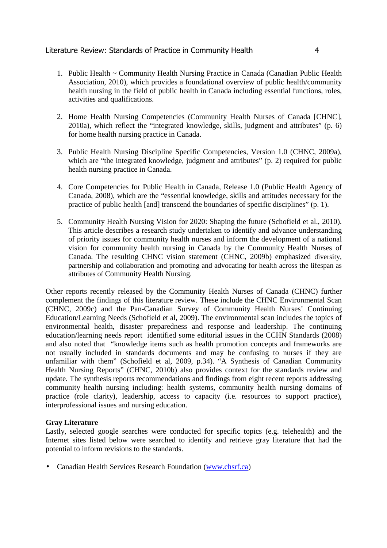- 1. Public Health ~ Community Health Nursing Practice in Canada (Canadian Public Health Association, 2010), which provides a foundational overview of public health/community health nursing in the field of public health in Canada including essential functions, roles, activities and qualifications.
- 2. Home Health Nursing Competencies (Community Health Nurses of Canada [CHNC], 2010a), which reflect the "integrated knowledge, skills, judgment and attributes" (p. 6) for home health nursing practice in Canada.
- 3. Public Health Nursing Discipline Specific Competencies, Version 1.0 (CHNC, 2009a), which are "the integrated knowledge, judgment and attributes" (p. 2) required for public health nursing practice in Canada.
- 4. Core Competencies for Public Health in Canada, Release 1.0 (Public Health Agency of Canada, 2008), which are the "essential knowledge, skills and attitudes necessary for the practice of public health [and] transcend the boundaries of specific disciplines" (p. 1).
- 5. Community Health Nursing Vision for 2020: Shaping the future (Schofield et al., 2010). This article describes a research study undertaken to identify and advance understanding of priority issues for community health nurses and inform the development of a national vision for community health nursing in Canada by the Community Health Nurses of Canada. The resulting CHNC vision statement (CHNC, 2009b) emphasized diversity, partnership and collaboration and promoting and advocating for health across the lifespan as attributes of Community Health Nursing.

Other reports recently released by the Community Health Nurses of Canada (CHNC) further complement the findings of this literature review. These include the CHNC Environmental Scan (CHNC, 2009c) and the Pan-Canadian Survey of Community Health Nurses' Continuing Education/Learning Needs (Schofield et al, 2009). The environmental scan includes the topics of environmental health, disaster preparedness and response and leadership. The continuing education/learning needs report identified some editorial issues in the CCHN Standards (2008) and also noted that "knowledge items such as health promotion concepts and frameworks are not usually included in standards documents and may be confusing to nurses if they are unfamiliar with them" (Schofield et al, 2009, p.34). "A Synthesis of Canadian Community Health Nursing Reports" (CHNC, 2010b) also provides context for the standards review and update. The synthesis reports recommendations and findings from eight recent reports addressing community health nursing including: health systems, community health nursing domains of practice (role clarity), leadership, access to capacity (i.e. resources to support practice), interprofessional issues and nursing education.

# **Gray Literature**

Lastly, selected google searches were conducted for specific topics (e.g. telehealth) and the Internet sites listed below were searched to identify and retrieve gray literature that had the potential to inform revisions to the standards.

• Canadian Health Services Research Foundation (www.chsrf.ca)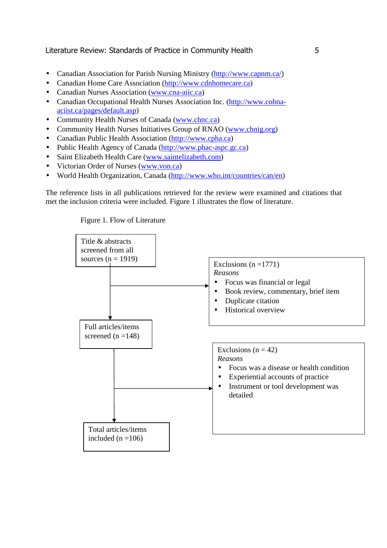- Canadian Association for Parish Nursing Ministry (http://www.capnm.ca/)
- Canadian Home Care Association (http://www.cdnhomecare.ca)
- Canadian Nurses Association (www.cna-aiic.ca)
- Canadian Occupational Health Nurses Association Inc. (http://www.cohnaaciist.ca/pages/default.asp)
- Community Health Nurses of Canada (www.chnc.ca)
- Community Health Nurses Initiatives Group of RNAO (www.chnig.org)
- Canadian Public Health Association (http://www.cpha.ca)
- Public Health Agency of Canada (http://www.phac-aspc.gc.ca)
- Saint Elizabeth Health Care (www.saintelizabeth.com)
- Victorian Order of Nurses (www.von.ca)
- World Health Organization, Canada (http://www.who.int/countries/can/en)

The reference lists in all publications retrieved for the review were examined and citations that met the inclusion criteria were included. Figure 1 illustrates the flow of literature.

Figure 1. Flow of Literature

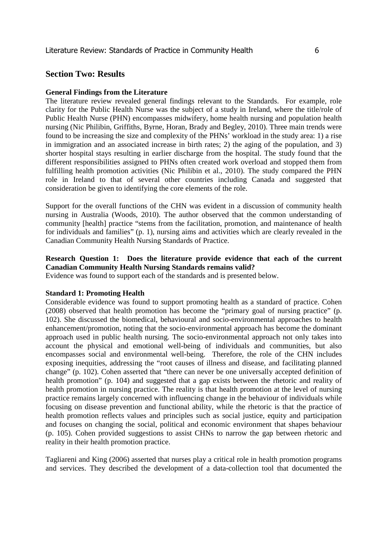# **Section Two: Results**

# **General Findings from the Literature**

The literature review revealed general findings relevant to the Standards. For example, role clarity for the Public Health Nurse was the subject of a study in Ireland, where the title/role of Public Health Nurse (PHN) encompasses midwifery, home health nursing and population health nursing (Nic Philibin, Griffiths, Byrne, Horan, Brady and Begley, 2010). Three main trends were found to be increasing the size and complexity of the PHNs' workload in the study area: 1) a rise in immigration and an associated increase in birth rates; 2) the aging of the population, and 3) shorter hospital stays resulting in earlier discharge from the hospital. The study found that the different responsibilities assigned to PHNs often created work overload and stopped them from fulfilling health promotion activities (Nic Philibin et al., 2010). The study compared the PHN role in Ireland to that of several other countries including Canada and suggested that consideration be given to identifying the core elements of the role.

Support for the overall functions of the CHN was evident in a discussion of community health nursing in Australia (Woods, 2010). The author observed that the common understanding of community [health] practice "stems from the facilitation, promotion, and maintenance of health for individuals and families" (p. 1), nursing aims and activities which are clearly revealed in the Canadian Community Health Nursing Standards of Practice.

# **Research Question 1: Does the literature provide evidence that each of the current Canadian Community Health Nursing Standards remains valid?**

Evidence was found to support each of the standards and is presented below.

### **Standard 1: Promoting Health**

Considerable evidence was found to support promoting health as a standard of practice. Cohen (2008) observed that health promotion has become the "primary goal of nursing practice" (p. 102). She discussed the biomedical, behavioural and socio-environmental approaches to health enhancement/promotion, noting that the socio-environmental approach has become the dominant approach used in public health nursing. The socio-environmental approach not only takes into account the physical and emotional well-being of individuals and communities, but also encompasses social and environmental well-being. Therefore, the role of the CHN includes exposing inequities, addressing the "root causes of illness and disease, and facilitating planned change" (p. 102). Cohen asserted that "there can never be one universally accepted definition of health promotion" (p. 104) and suggested that a gap exists between the rhetoric and reality of health promotion in nursing practice. The reality is that health promotion at the level of nursing practice remains largely concerned with influencing change in the behaviour of individuals while focusing on disease prevention and functional ability, while the rhetoric is that the practice of health promotion reflects values and principles such as social justice, equity and participation and focuses on changing the social, political and economic environment that shapes behaviour (p. 105). Cohen provided suggestions to assist CHNs to narrow the gap between rhetoric and reality in their health promotion practice.

Tagliareni and King (2006) asserted that nurses play a critical role in health promotion programs and services. They described the development of a data-collection tool that documented the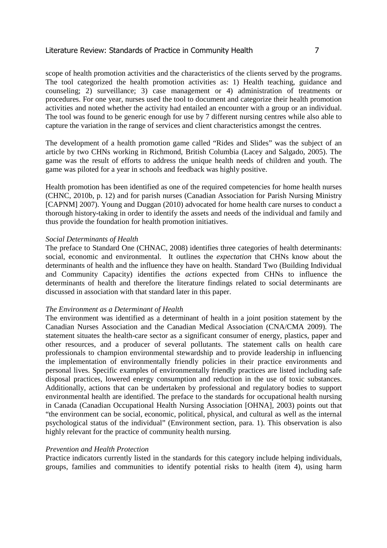scope of health promotion activities and the characteristics of the clients served by the programs. The tool categorized the health promotion activities as: 1) Health teaching, guidance and counseling; 2) surveillance; 3) case management or 4) administration of treatments or procedures. For one year, nurses used the tool to document and categorize their health promotion activities and noted whether the activity had entailed an encounter with a group or an individual. The tool was found to be generic enough for use by 7 different nursing centres while also able to capture the variation in the range of services and client characteristics amongst the centres.

The development of a health promotion game called "Rides and Slides" was the subject of an article by two CHNs working in Richmond, British Columbia (Lacey and Salgado, 2005). The game was the result of efforts to address the unique health needs of children and youth. The game was piloted for a year in schools and feedback was highly positive.

Health promotion has been identified as one of the required competencies for home health nurses (CHNC, 2010b, p. 12) and for parish nurses (Canadian Association for Parish Nursing Ministry [CAPNM] 2007). Young and Duggan (2010) advocated for home health care nurses to conduct a thorough history-taking in order to identify the assets and needs of the individual and family and thus provide the foundation for health promotion initiatives.

### *Social Determinants of Health*

The preface to Standard One (CHNAC, 2008) identifies three categories of health determinants: social, economic and environmental. It outlines the *expectation* that CHNs know about the determinants of health and the influence they have on health. Standard Two (Building Individual and Community Capacity) identifies the *actions* expected from CHNs to influence the determinants of health and therefore the literature findings related to social determinants are discussed in association with that standard later in this paper.

### *The Environment as a Determinant of Health*

The environment was identified as a determinant of health in a joint position statement by the Canadian Nurses Association and the Canadian Medical Association (CNA/CMA 2009). The statement situates the health-care sector as a significant consumer of energy, plastics, paper and other resources, and a producer of several pollutants. The statement calls on health care professionals to champion environmental stewardship and to provide leadership in influencing the implementation of environmentally friendly policies in their practice environments and personal lives. Specific examples of environmentally friendly practices are listed including safe disposal practices, lowered energy consumption and reduction in the use of toxic substances. Additionally, actions that can be undertaken by professional and regulatory bodies to support environmental health are identified. The preface to the standards for occupational health nursing in Canada (Canadian Occupational Health Nursing Association [OHNA], 2003) points out that "the environment can be social, economic, political, physical, and cultural as well as the internal psychological status of the individual" (Environment section, para. 1). This observation is also highly relevant for the practice of community health nursing.

#### *Prevention and Health Protection*

Practice indicators currently listed in the standards for this category include helping individuals, groups, families and communities to identify potential risks to health (item 4), using harm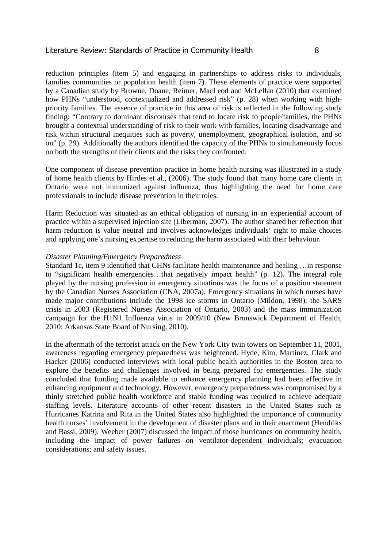reduction principles (item 5) and engaging in partnerships to address risks to individuals, families communities or population health (item 7). These elements of practice were supported by a Canadian study by Browne, Doane, Reimer, MacLeod and McLellan (2010) that examined how PHNs "understood, contextualized and addressed risk" (p. 28) when working with highpriority families. The essence of practice in this area of risk is reflected in the following study finding: "Contrary to dominant discourses that tend to locate risk to people/families, the PHNs brought a contextual understanding of risk to their work with families, locating disadvantage and risk within structural inequities such as poverty, unemployment, geographical isolation, and so on" (p. 29). Additionally the authors identified the capacity of the PHNs to simultaneously focus on both the strengths of their clients and the risks they confronted.

One component of disease prevention practice in home health nursing was illustrated in a study of home health clients by Hirdes et al., (2006). The study found that many home care clients in Ontario were not immunized against influenza, thus highlighting the need for home care professionals to include disease prevention in their roles.

Harm Reduction was situated as an ethical obligation of nursing in an experiential account of practice within a supervised injection site (Liberman, 2007). The author shared her reflection that harm reduction is value neutral and involves acknowledges individuals' right to make choices and applying one's nursing expertise to reducing the harm associated with their behaviour.

#### *Disaster Planning/Emergency Preparedness*

Standard 1c, item 9 identified that CHNs facilitate health maintenance and healing …in response to "significant health emergencies…that negatively impact health" (p. 12). The integral role played by the nursing profession in emergency situations was the focus of a position statement by the Canadian Nurses Association (CNA, 2007a). Emergency situations in which nurses have made major contributions include the 1998 ice storms in Ontario (Mildon, 1998), the SARS crisis in 2003 (Registered Nurses Association of Ontario, 2003) and the mass immunization campaign for the H1N1 Influenza virus in 2009/10 (New Brunswick Department of Health, 2010; Arkansas State Board of Nursing, 2010).

In the aftermath of the terrorist attack on the New York City twin towers on September 11, 2001, awareness regarding emergency preparedness was heightened. Hyde, Kim, Martinez, Clark and Hacker (2006) conducted interviews with local public health authorities in the Boston area to explore the benefits and challenges involved in being prepared for emergencies. The study concluded that funding made available to enhance emergency planning had been effective in enhancing equipment and technology. However, emergency preparedness was compromised by a thinly stretched public health workforce and stable funding was required to achieve adequate staffing levels. Literature accounts of other recent disasters in the United States such as Hurricanes Katrina and Rita in the United States also highlighted the importance of community health nurses' involvement in the development of disaster plans and in their enactment (Hendriks and Bassi, 2009). Weeber (2007) discussed the impact of those hurricanes on community health, including the impact of power failures on ventilator-dependent individuals; evacuation considerations; and safety issues.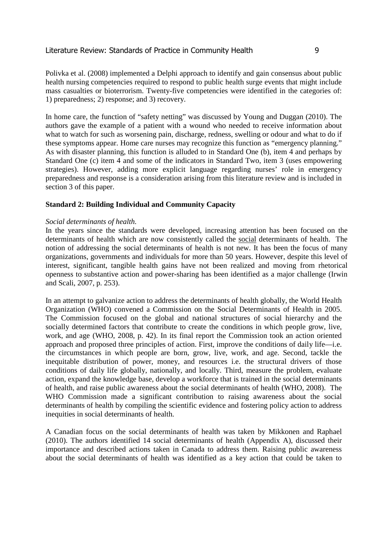Polivka et al. (2008) implemented a Delphi approach to identify and gain consensus about public health nursing competencies required to respond to public health surge events that might include mass casualties or bioterrorism. Twenty-five competencies were identified in the categories of: 1) preparedness; 2) response; and 3) recovery.

In home care, the function of "safety netting" was discussed by Young and Duggan (2010). The authors gave the example of a patient with a wound who needed to receive information about what to watch for such as worsening pain, discharge, redness, swelling or odour and what to do if these symptoms appear. Home care nurses may recognize this function as "emergency planning." As with disaster planning, this function is alluded to in Standard One (b), item 4 and perhaps by Standard One (c) item 4 and some of the indicators in Standard Two, item 3 (uses empowering strategies). However, adding more explicit language regarding nurses' role in emergency preparedness and response is a consideration arising from this literature review and is included in section 3 of this paper.

# **Standard 2: Building Individual and Community Capacity**

### *Social determinants of health.*

In the years since the standards were developed, increasing attention has been focused on the determinants of health which are now consistently called the social determinants of health. The notion of addressing the social determinants of health is not new. It has been the focus of many organizations, governments and individuals for more than 50 years. However, despite this level of interest, significant, tangible health gains have not been realized and moving from rhetorical openness to substantive action and power-sharing has been identified as a major challenge (Irwin and Scali, 2007, p. 253).

In an attempt to galvanize action to address the determinants of health globally, the World Health Organization (WHO) convened a Commission on the Social Determinants of Health in 2005. The Commission focused on the global and national structures of social hierarchy and the socially determined factors that contribute to create the conditions in which people grow, live, work, and age (WHO, 2008, p. 42). In its final report the Commission took an action oriented approach and proposed three principles of action. First, improve the conditions of daily life—i.e. the circumstances in which people are born, grow, live, work, and age. Second, tackle the inequitable distribution of power, money, and resources i.e. the structural drivers of those conditions of daily life globally, nationally, and locally. Third, measure the problem, evaluate action, expand the knowledge base, develop a workforce that is trained in the social determinants of health, and raise public awareness about the social determinants of health (WHO, 2008). The WHO Commission made a significant contribution to raising awareness about the social determinants of health by compiling the scientific evidence and fostering policy action to address inequities in social determinants of health.

A Canadian focus on the social determinants of health was taken by Mikkonen and Raphael (2010). The authors identified 14 social determinants of health (Appendix A), discussed their importance and described actions taken in Canada to address them. Raising public awareness about the social determinants of health was identified as a key action that could be taken to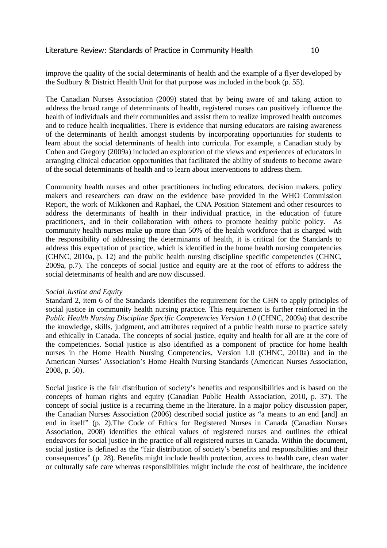improve the quality of the social determinants of health and the example of a flyer developed by the Sudbury & District Health Unit for that purpose was included in the book (p. 55).

The Canadian Nurses Association (2009) stated that by being aware of and taking action to address the broad range of determinants of health, registered nurses can positively influence the health of individuals and their communities and assist them to realize improved health outcomes and to reduce health inequalities. There is evidence that nursing educators are raising awareness of the determinants of health amongst students by incorporating opportunities for students to learn about the social determinants of health into curricula. For example, a Canadian study by Cohen and Gregory (2009a) included an exploration of the views and experiences of educators in arranging clinical education opportunities that facilitated the ability of students to become aware of the social determinants of health and to learn about interventions to address them.

Community health nurses and other practitioners including educators, decision makers, policy makers and researchers can draw on the evidence base provided in the WHO Commission Report, the work of Mikkonen and Raphael, the CNA Position Statement and other resources to address the determinants of health in their individual practice, in the education of future practitioners, and in their collaboration with others to promote healthy public policy. As community health nurses make up more than 50% of the health workforce that is charged with the responsibility of addressing the determinants of health, it is critical for the Standards to address this expectation of practice, which is identified in the home health nursing competencies (CHNC, 2010a, p. 12) and the public health nursing discipline specific competencies (CHNC, 2009a, p.7). The concepts of social justice and equity are at the root of efforts to address the social determinants of health and are now discussed.

### *Social Justice and Equity*

Standard 2, item 6 of the Standards identifies the requirement for the CHN to apply principles of social justice in community health nursing practice. This requirement is further reinforced in the *Public Health Nursing Discipline Specific Competencies Version 1.0 (CHNC, 2009a) that describe* the knowledge, skills, judgment**,** and attributes required of a public health nurse to practice safely and ethically in Canada. The concepts of social justice, equity and health for all are at the core of the competencies. Social justice is also identified as a component of practice for home health nurses in the Home Health Nursing Competencies, Version 1.0 (CHNC, 2010a) and in the American Nurses' Association's Home Health Nursing Standards (American Nurses Association, 2008, p. 50).

Social justice is the fair distribution of society's benefits and responsibilities and is based on the concepts of human rights and equity (Canadian Public Health Association, 2010, p. 37). The concept of social justice is a recurring theme in the literature. In a major policy discussion paper, the Canadian Nurses Association (2006) described social justice as "a means to an end [and] an end in itself" (p. 2).The Code of Ethics for Registered Nurses in Canada (Canadian Nurses Association, 2008) identifies the ethical values of registered nurses and outlines the ethical endeavors for social justice in the practice of all registered nurses in Canada. Within the document, social justice is defined as the "fair distribution of society's benefits and responsibilities and their consequences" (p. 28). Benefits might include health protection, access to health care, clean water or culturally safe care whereas responsibilities might include the cost of healthcare, the incidence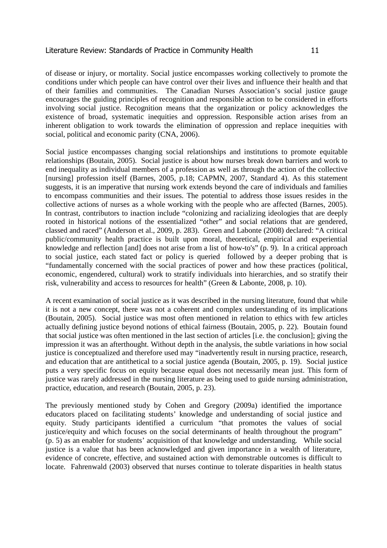of disease or injury, or mortality. Social justice encompasses working collectively to promote the conditions under which people can have control over their lives and influence their health and that of their families and communities. The Canadian Nurses Association's social justice gauge encourages the guiding principles of recognition and responsible action to be considered in efforts involving social justice. Recognition means that the organization or policy acknowledges the existence of broad, systematic inequities and oppression. Responsible action arises from an inherent obligation to work towards the elimination of oppression and replace inequities with social, political and economic parity (CNA, 2006).

Social justice encompasses changing social relationships and institutions to promote equitable relationships (Boutain, 2005). Social justice is about how nurses break down barriers and work to end inequality as individual members of a profession as well as through the action of the collective [nursing] profession itself (Barnes, 2005, p.18; CAPMN, 2007, Standard 4). As this statement suggests, it is an imperative that nursing work extends beyond the care of individuals and families to encompass communities and their issues. The potential to address those issues resides in the collective actions of nurses as a whole working with the people who are affected (Barnes, 2005). In contrast, contributors to inaction include "colonizing and racializing ideologies that are deeply rooted in historical notions of the essentialized "other" and social relations that are gendered, classed and raced" (Anderson et al., 2009, p. 283). Green and Labonte (2008) declared: "A critical public/community health practice is built upon moral, theoretical, empirical and experiential knowledge and reflection [and] does not arise from a list of how-to's" (p. 9). In a critical approach to social justice, each stated fact or policy is queried followed by a deeper probing that is "fundamentally concerned with the social practices of power and how these practices (political, economic, engendered, cultural) work to stratify individuals into hierarchies, and so stratify their risk, vulnerability and access to resources for health" (Green & Labonte, 2008, p. 10).

A recent examination of social justice as it was described in the nursing literature, found that while it is not a new concept, there was not a coherent and complex understanding of its implications (Boutain, 2005). Social justice was most often mentioned in relation to ethics with few articles actually defining justice beyond notions of ethical fairness (Boutain, 2005, p. 22). Boutain found that social justice was often mentioned in the last section of articles [i.e. the conclusion]; giving the impression it was an afterthought. Without depth in the analysis, the subtle variations in how social justice is conceptualized and therefore used may "inadvertently result in nursing practice, research, and education that are antithetical to a social justice agenda (Boutain, 2005, p. 19). Social justice puts a very specific focus on equity because equal does not necessarily mean just. This form of justice was rarely addressed in the nursing literature as being used to guide nursing administration, practice, education, and research (Boutain, 2005, p. 23).

The previously mentioned study by Cohen and Gregory (2009a) identified the importance educators placed on facilitating students' knowledge and understanding of social justice and equity. Study participants identified a curriculum "that promotes the values of social justice/equity and which focuses on the social determinants of health throughout the program" (p. 5) as an enabler for students' acquisition of that knowledge and understanding. While social justice is a value that has been acknowledged and given importance in a wealth of literature, evidence of concrete, effective, and sustained action with demonstrable outcomes is difficult to locate. Fahrenwald (2003) observed that nurses continue to tolerate disparities in health status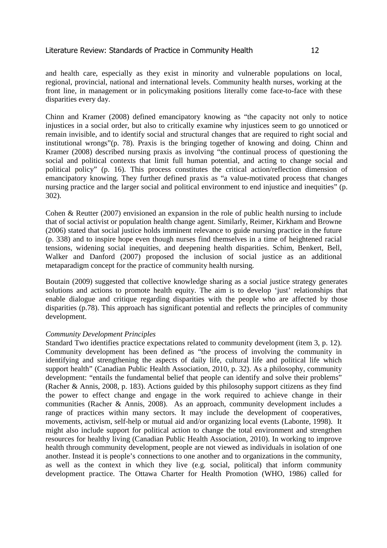and health care, especially as they exist in minority and vulnerable populations on local, regional, provincial, national and international levels. Community health nurses, working at the front line, in management or in policymaking positions literally come face-to-face with these disparities every day.

Chinn and Kramer (2008) defined emancipatory knowing as "the capacity not only to notice injustices in a social order, but also to critically examine why injustices seem to go unnoticed or remain invisible, and to identify social and structural changes that are required to right social and institutional wrongs"(p. 78). Praxis is the bringing together of knowing and doing. Chinn and Kramer (2008) described nursing praxis as involving "the continual process of questioning the social and political contexts that limit full human potential, and acting to change social and political policy" (p. 16). This process constitutes the critical action/reflection dimension of emancipatory knowing. They further defined praxis as "a value-motivated process that changes nursing practice and the larger social and political environment to end injustice and inequities" (p. 302).

Cohen & Reutter (2007) envisioned an expansion in the role of public health nursing to include that of social activist or population health change agent. Similarly, Reimer, Kirkham and Browne (2006) stated that social justice holds imminent relevance to guide nursing practice in the future (p. 338) and to inspire hope even though nurses find themselves in a time of heightened racial tensions, widening social inequities, and deepening health disparities. Schim, Benkert, Bell, Walker and Danford (2007) proposed the inclusion of social justice as an additional metaparadigm concept for the practice of community health nursing.

Boutain (2009) suggested that collective knowledge sharing as a social justice strategy generates solutions and actions to promote health equity. The aim is to develop 'just' relationships that enable dialogue and critique regarding disparities with the people who are affected by those disparities (p.78). This approach has significant potential and reflects the principles of community development.

### *Community Development Principles*

Standard Two identifies practice expectations related to community development (item 3, p. 12). Community development has been defined as "the process of involving the community in identifying and strengthening the aspects of daily life, cultural life and political life which support health" (Canadian Public Health Association, 2010, p. 32). As a philosophy, community development: "entails the fundamental belief that people can identify and solve their problems" (Racher & Annis, 2008, p. 183). Actions guided by this philosophy support citizens as they find the power to effect change and engage in the work required to achieve change in their communities (Racher & Annis, 2008). As an approach, community development includes a range of practices within many sectors. It may include the development of cooperatives, movements, activism, self-help or mutual aid and/or organizing local events (Labonte, 1998). It might also include support for political action to change the total environment and strengthen resources for healthy living (Canadian Public Health Association, 2010). In working to improve health through community development, people are not viewed as individuals in isolation of one another. Instead it is people's connections to one another and to organizations in the community, as well as the context in which they live (e.g. social, political) that inform community development practice. The Ottawa Charter for Health Promotion (WHO, 1986) called for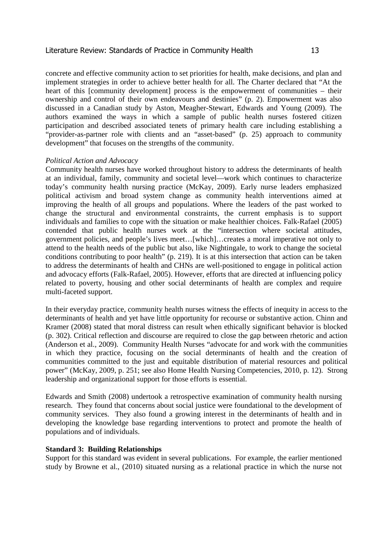concrete and effective community action to set priorities for health, make decisions, and plan and implement strategies in order to achieve better health for all. The Charter declared that "At the heart of this [community development] process is the empowerment of communities – their ownership and control of their own endeavours and destinies" (p. 2). Empowerment was also discussed in a Canadian study by Aston, Meagher-Stewart, Edwards and Young (2009). The authors examined the ways in which a sample of public health nurses fostered citizen participation and described associated tenets of primary health care including establishing a "provider-as-partner role with clients and an "asset-based" (p. 25) approach to community development" that focuses on the strengths of the community.

### *Political Action and Advocacy*

Community health nurses have worked throughout history to address the determinants of health at an individual, family, community and societal level—work which continues to characterize today's community health nursing practice (McKay, 2009). Early nurse leaders emphasized political activism and broad system change as community health interventions aimed at improving the health of all groups and populations. Where the leaders of the past worked to change the structural and environmental constraints, the current emphasis is to support individuals and families to cope with the situation or make healthier choices. Falk-Rafael (2005) contended that public health nurses work at the "intersection where societal attitudes, government policies, and people's lives meet…[which]…creates a moral imperative not only to attend to the health needs of the public but also, like Nightingale, to work to change the societal conditions contributing to poor health" (p. 219). It is at this intersection that action can be taken to address the determinants of health and CHNs are well-positioned to engage in political action and advocacy efforts (Falk-Rafael, 2005). However, efforts that are directed at influencing policy related to poverty, housing and other social determinants of health are complex and require multi-faceted support.

In their everyday practice, community health nurses witness the effects of inequity in access to the determinants of health and yet have little opportunity for recourse or substantive action. Chinn and Kramer (2008) stated that moral distress can result when ethically significant behavior is blocked (p. 302). Critical reflection and discourse are required to close the gap between rhetoric and action (Anderson et al., 2009). Community Health Nurses "advocate for and work with the communities in which they practice, focusing on the social determinants of health and the creation of communities committed to the just and equitable distribution of material resources and political power" (McKay, 2009, p. 251; see also Home Health Nursing Competencies, 2010, p. 12). Strong leadership and organizational support for those efforts is essential.

Edwards and Smith (2008) undertook a retrospective examination of community health nursing research. They found that concerns about social justice were foundational to the development of community services. They also found a growing interest in the determinants of health and in developing the knowledge base regarding interventions to protect and promote the health of populations and of individuals.

#### **Standard 3: Building Relationships**

Support for this standard was evident in several publications. For example, the earlier mentioned study by Browne et al., (2010) situated nursing as a relational practice in which the nurse not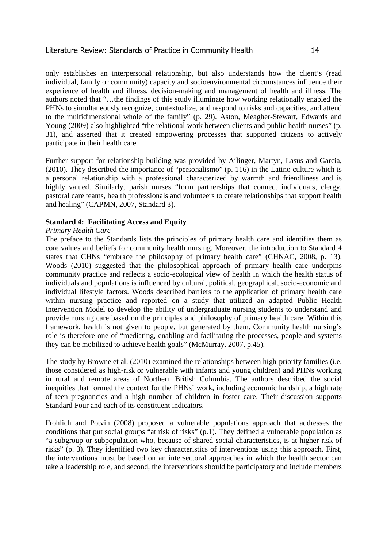only establishes an interpersonal relationship, but also understands how the client's (read individual, family or community) capacity and socioenvironmental circumstances influence their experience of health and illness, decision-making and management of health and illness. The authors noted that "…the findings of this study illuminate how working relationally enabled the PHNs to simultaneously recognize, contextualize, and respond to risks and capacities, and attend to the multidimensional whole of the family" (p. 29). Aston, Meagher-Stewart, Edwards and Young (2009) also highlighted "the relational work between clients and public health nurses" (p. 31), and asserted that it created empowering processes that supported citizens to actively participate in their health care.

Further support for relationship-building was provided by Ailinger, Martyn, Lasus and Garcia, (2010). They described the importance of "personalismo" (p. 116) in the Latino culture which is a personal relationship with a professional characterized by warmth and friendliness and is highly valued. Similarly, parish nurses "form partnerships that connect individuals, clergy, pastoral care teams, health professionals and volunteers to create relationships that support health and healing" (CAPMN, 2007, Standard 3).

### **Standard 4: Facilitating Access and Equity**

### *Primary Health Care*

The preface to the Standards lists the principles of primary health care and identifies them as core values and beliefs for community health nursing. Moreover, the introduction to Standard 4 states that CHNs "embrace the philosophy of primary health care" (CHNAC, 2008, p. 13). Woods (2010) suggested that the philosophical approach of primary health care underpins community practice and reflects a socio-ecological view of health in which the health status of individuals and populations is influenced by cultural, political, geographical, socio-economic and individual lifestyle factors. Woods described barriers to the application of primary health care within nursing practice and reported on a study that utilized an adapted Public Health Intervention Model to develop the ability of undergraduate nursing students to understand and provide nursing care based on the principles and philosophy of primary health care. Within this framework, health is not given to people, but generated by them. Community health nursing's role is therefore one of "mediating, enabling and facilitating the processes, people and systems they can be mobilized to achieve health goals" (McMurray, 2007, p.45).

The study by Browne et al. (2010) examined the relationships between high-priority families (i.e. those considered as high-risk or vulnerable with infants and young children) and PHNs working in rural and remote areas of Northern British Columbia. The authors described the social inequities that formed the context for the PHNs' work, including economic hardship, a high rate of teen pregnancies and a high number of children in foster care. Their discussion supports Standard Four and each of its constituent indicators.

Frohlich and Potvin (2008) proposed a vulnerable populations approach that addresses the conditions that put social groups "at risk of risks" (p.1). They defined a vulnerable population as "a subgroup or subpopulation who, because of shared social characteristics, is at higher risk of risks" (p. 3). They identified two key characteristics of interventions using this approach. First, the interventions must be based on an intersectoral approaches in which the health sector can take a leadership role, and second, the interventions should be participatory and include members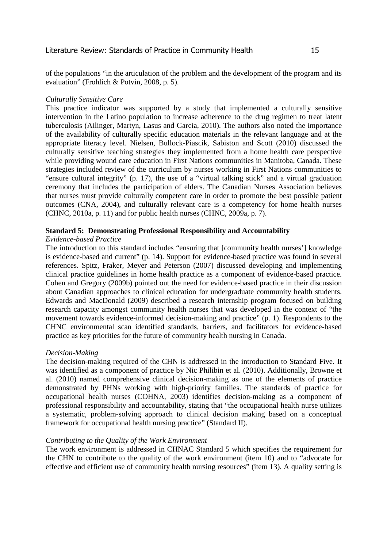of the populations "in the articulation of the problem and the development of the program and its evaluation" (Frohlich & Potvin, 2008, p. 5).

### *Culturally Sensitive Care*

This practice indicator was supported by a study that implemented a culturally sensitive intervention in the Latino population to increase adherence to the drug regimen to treat latent tuberculosis (Ailinger, Martyn, Lasus and Garcia, 2010). The authors also noted the importance of the availability of culturally specific education materials in the relevant language and at the appropriate literacy level. Nielsen, Bullock-Piascik, Sabiston and Scott (2010) discussed the culturally sensitive teaching strategies they implemented from a home health care perspective while providing wound care education in First Nations communities in Manitoba, Canada. These strategies included review of the curriculum by nurses working in First Nations communities to "ensure cultural integrity" (p. 17), the use of a "virtual talking stick" and a virtual graduation ceremony that includes the participation of elders. The Canadian Nurses Association believes that nurses must provide culturally competent care in order to promote the best possible patient outcomes (CNA, 2004), and culturally relevant care is a competency for home health nurses (CHNC, 2010a, p. 11) and for public health nurses (CHNC, 2009a, p. 7).

### **Standard 5: Demonstrating Professional Responsibility and Accountability**

#### *Evidence-based Practice*

The introduction to this standard includes "ensuring that [community health nurses'] knowledge is evidence-based and current" (p. 14). Support for evidence-based practice was found in several references. Spitz, Fraker, Meyer and Peterson (2007) discussed developing and implementing clinical practice guidelines in home health practice as a component of evidence-based practice. Cohen and Gregory (2009b) pointed out the need for evidence-based practice in their discussion about Canadian approaches to clinical education for undergraduate community health students. Edwards and MacDonald (2009) described a research internship program focused on building research capacity amongst community health nurses that was developed in the context of "the movement towards evidence-informed decision-making and practice" (p. 1). Respondents to the CHNC environmental scan identified standards, barriers, and facilitators for evidence-based practice as key priorities for the future of community health nursing in Canada.

### *Decision-Making*

The decision-making required of the CHN is addressed in the introduction to Standard Five. It was identified as a component of practice by Nic Philibin et al. (2010). Additionally, Browne et al. (2010) named comprehensive clinical decision-making as one of the elements of practice demonstrated by PHNs working with high-priority families. The standards of practice for occupational health nurses (COHNA, 2003) identifies decision-making as a component of professional responsibility and accountability, stating that "the occupational health nurse utilizes a systematic, problem-solving approach to clinical decision making based on a conceptual framework for occupational health nursing practice" (Standard II).

#### *Contributing to the Quality of the Work Environment*

The work environment is addressed in CHNAC Standard 5 which specifies the requirement for the CHN to contribute to the quality of the work environment (item 10) and to "advocate for effective and efficient use of community health nursing resources" (item 13). A quality setting is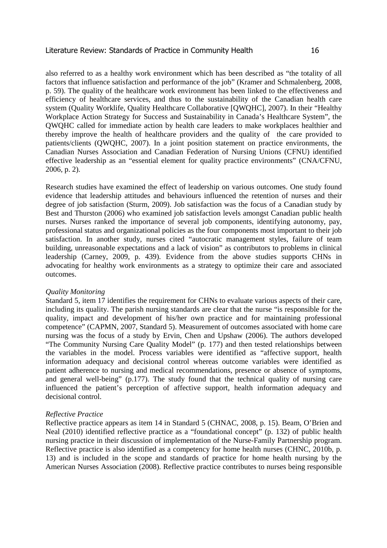also referred to as a healthy work environment which has been described as "the totality of all factors that influence satisfaction and performance of the job" (Kramer and Schmalenberg, 2008, p. 59). The quality of the healthcare work environment has been linked to the effectiveness and efficiency of healthcare services, and thus to the sustainability of the Canadian health care system (Quality Worklife, Quality Healthcare Collaborative [QWQHC], 2007). In their "Healthy Workplace Action Strategy for Success and Sustainability in Canada's Healthcare System", the QWQHC called for immediate action by health care leaders to make workplaces healthier and thereby improve the health of healthcare providers and the quality of the care provided to patients/clients (QWQHC, 2007). In a joint position statement on practice environments, the Canadian Nurses Association and Canadian Federation of Nursing Unions (CFNU) identified effective leadership as an "essential element for quality practice environments" (CNA/CFNU, 2006, p. 2).

Research studies have examined the effect of leadership on various outcomes. One study found evidence that leadership attitudes and behaviours influenced the retention of nurses and their degree of job satisfaction (Sturm, 2009). Job satisfaction was the focus of a Canadian study by Best and Thurston (2006) who examined job satisfaction levels amongst Canadian public health nurses. Nurses ranked the importance of several job components, identifying autonomy, pay, professional status and organizational policies as the four components most important to their job satisfaction. In another study, nurses cited "autocratic management styles, failure of team building, unreasonable expectations and a lack of vision" as contributors to problems in clinical leadership (Carney, 2009, p. 439). Evidence from the above studies supports CHNs in advocating for healthy work environments as a strategy to optimize their care and associated outcomes.

#### *Quality Monitoring*

Standard 5, item 17 identifies the requirement for CHNs to evaluate various aspects of their care, including its quality. The parish nursing standards are clear that the nurse "is responsible for the quality, impact and development of his/her own practice and for maintaining professional competence" (CAPMN, 2007, Standard 5). Measurement of outcomes associated with home care nursing was the focus of a study by Ervin, Chen and Upshaw (2006). The authors developed "The Community Nursing Care Quality Model" (p. 177) and then tested relationships between the variables in the model. Process variables were identified as "affective support, health information adequacy and decisional control whereas outcome variables were identified as patient adherence to nursing and medical recommendations, presence or absence of symptoms, and general well-being" (p.177). The study found that the technical quality of nursing care influenced the patient's perception of affective support, health information adequacy and decisional control.

#### *Reflective Practice*

Reflective practice appears as item 14 in Standard 5 (CHNAC, 2008, p. 15). Beam, O'Brien and Neal (2010) identified reflective practice as a "foundational concept" (p. 132) of public health nursing practice in their discussion of implementation of the Nurse-Family Partnership program. Reflective practice is also identified as a competency for home health nurses (CHNC, 2010b, p. 13) and is included in the scope and standards of practice for home health nursing by the American Nurses Association (2008). Reflective practice contributes to nurses being responsible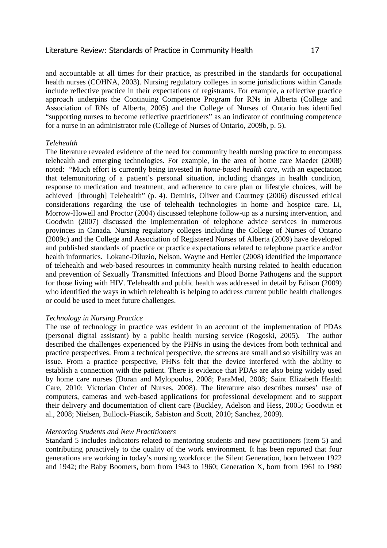and accountable at all times for their practice, as prescribed in the standards for occupational health nurses (COHNA, 2003). Nursing regulatory colleges in some jurisdictions within Canada include reflective practice in their expectations of registrants. For example, a reflective practice approach underpins the Continuing Competence Program for RNs in Alberta (College and Association of RNs of Alberta, 2005) and the College of Nurses of Ontario has identified "supporting nurses to become reflective practitioners" as an indicator of continuing competence for a nurse in an administrator role (College of Nurses of Ontario, 2009b, p. 5).

### *Telehealth*

The literature revealed evidence of the need for community health nursing practice to encompass telehealth and emerging technologies. For example, in the area of home care Maeder (2008) noted: "Much effort is currently being invested in *home-based health care*, with an expectation that telemonitoring of a patient's personal situation, including changes in health condition, response to medication and treatment, and adherence to care plan or lifestyle choices, will be achieved [through] Telehealth" (p. 4). Demiris, Oliver and Courtney (2006) discussed ethical considerations regarding the use of telehealth technologies in home and hospice care. Li, Morrow-Howell and Proctor (2004) discussed telephone follow-up as a nursing intervention, and Goodwin (2007) discussed the implementation of telephone advice services in numerous provinces in Canada. Nursing regulatory colleges including the College of Nurses of Ontario (2009c) and the College and Association of Registered Nurses of Alberta (2009) have developed and published standards of practice or practice expectations related to telephone practice and/or health informatics. Lokanc-Diluzio, Nelson, Wayne and Hettler (2008) identified the importance of telehealth and web-based resources in community health nursing related to health education and prevention of Sexually Transmitted Infections and Blood Borne Pathogens and the support for those living with HIV. Telehealth and public health was addressed in detail by Edison (2009) who identified the ways in which telehealth is helping to address current public health challenges or could be used to meet future challenges.

### *Technology in Nursing Practice*

The use of technology in practice was evident in an account of the implementation of PDAs (personal digital assistant) by a public health nursing service (Rogoski, 2005). The author described the challenges experienced by the PHNs in using the devices from both technical and practice perspectives. From a technical perspective, the screens are small and so visibility was an issue. From a practice perspective, PHNs felt that the device interfered with the ability to establish a connection with the patient. There is evidence that PDAs are also being widely used by home care nurses (Doran and Mylopoulos, 2008; ParaMed, 2008; Saint Elizabeth Health Care, 2010; Victorian Order of Nurses, 2008). The literature also describes nurses' use of computers, cameras and web-based applications for professional development and to support their delivery and documentation of client care (Buckley, Adelson and Hess, 2005; Goodwin et al., 2008; Nielsen, Bullock-Piascik, Sabiston and Scott, 2010; Sanchez, 2009).

#### *Mentoring Students and New Practitioners*

Standard 5 includes indicators related to mentoring students and new practitioners (item 5) and contributing proactively to the quality of the work environment. It has been reported that four generations are working in today's nursing workforce: the Silent Generation, born between 1922 and 1942; the Baby Boomers, born from 1943 to 1960; Generation X, born from 1961 to 1980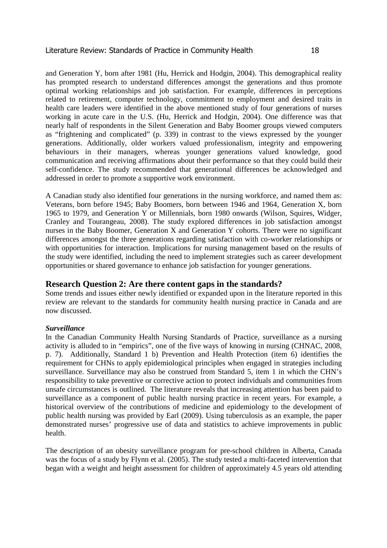and Generation Y, born after 1981 (Hu, Herrick and Hodgin, 2004). This demographical reality has prompted research to understand differences amongst the generations and thus promote optimal working relationships and job satisfaction. For example, differences in perceptions related to retirement, computer technology, commitment to employment and desired traits in health care leaders were identified in the above mentioned study of four generations of nurses working in acute care in the U.S. (Hu, Herrick and Hodgin, 2004). One difference was that nearly half of respondents in the Silent Generation and Baby Boomer groups viewed computers as "frightening and complicated" (p. 339) in contrast to the views expressed by the younger generations. Additionally, older workers valued professionalism, integrity and empowering behaviours in their managers, whereas younger generations valued knowledge, good communication and receiving affirmations about their performance so that they could build their self-confidence. The study recommended that generational differences be acknowledged and addressed in order to promote a supportive work environment.

A Canadian study also identified four generations in the nursing workforce, and named them as: Veterans, born before 1945; Baby Boomers, born between 1946 and 1964, Generation X, born 1965 to 1979, and Generation Y or Millennials, born 1980 onwards (Wilson, Squires, Widger, Cranley and Tourangeau, 2008). The study explored differences in job satisfaction amongst nurses in the Baby Boomer, Generation X and Generation Y cohorts. There were no significant differences amongst the three generations regarding satisfaction with co-worker relationships or with opportunities for interaction. Implications for nursing management based on the results of the study were identified, including the need to implement strategies such as career development opportunities or shared governance to enhance job satisfaction for younger generations.

# **Research Question 2: Are there content gaps in the standards?**

Some trends and issues either newly identified or expanded upon in the literature reported in this review are relevant to the standards for community health nursing practice in Canada and are now discussed.

# *Surveillance*

In the Canadian Community Health Nursing Standards of Practice, surveillance as a nursing activity is alluded to in "empirics", one of the five ways of knowing in nursing (CHNAC, 2008, p. 7). Additionally, Standard 1 b) Prevention and Health Protection (item 6) identifies the requirement for CHNs to apply epidemiological principles when engaged in strategies including surveillance. Surveillance may also be construed from Standard 5, item 1 in which the CHN's responsibility to take preventive or corrective action to protect individuals and communities from unsafe circumstances is outlined. The literature reveals that increasing attention has been paid to surveillance as a component of public health nursing practice in recent years. For example, a historical overview of the contributions of medicine and epidemiology to the development of public health nursing was provided by Earl (2009). Using tuberculosis as an example, the paper demonstrated nurses' progressive use of data and statistics to achieve improvements in public health.

The description of an obesity surveillance program for pre-school children in Alberta, Canada was the focus of a study by Flynn et al. (2005). The study tested a multi-faceted intervention that began with a weight and height assessment for children of approximately 4.5 years old attending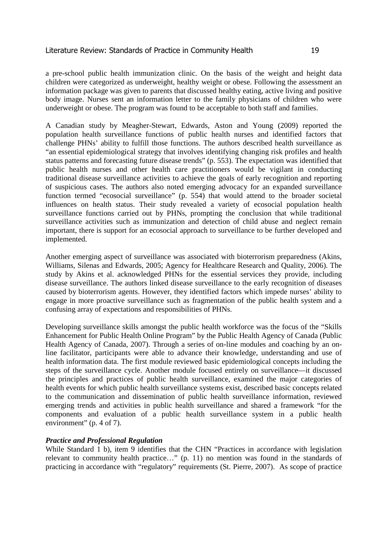a pre-school public health immunization clinic. On the basis of the weight and height data children were categorized as underweight, healthy weight or obese. Following the assessment an information package was given to parents that discussed healthy eating, active living and positive body image. Nurses sent an information letter to the family physicians of children who were underweight or obese. The program was found to be acceptable to both staff and families.

A Canadian study by Meagher-Stewart, Edwards, Aston and Young (2009) reported the population health surveillance functions of public health nurses and identified factors that challenge PHNs' ability to fulfill those functions. The authors described health surveillance as "an essential epidemiological strategy that involves identifying changing risk profiles and health status patterns and forecasting future disease trends" (p. 553). The expectation was identified that public health nurses and other health care practitioners would be vigilant in conducting traditional disease surveillance activities to achieve the goals of early recognition and reporting of suspicious cases. The authors also noted emerging advocacy for an expanded surveillance function termed "ecosocial surveillance" (p. 554) that would attend to the broader societal influences on health status. Their study revealed a variety of ecosocial population health surveillance functions carried out by PHNs, prompting the conclusion that while traditional surveillance activities such as immunization and detection of child abuse and neglect remain important, there is support for an ecosocial approach to surveillance to be further developed and implemented.

Another emerging aspect of surveillance was associated with bioterrorism preparedness (Akins, Williams, Silenas and Edwards, 2005; Agency for Healthcare Research and Quality, 2006). The study by Akins et al. acknowledged PHNs for the essential services they provide, including disease surveillance. The authors linked disease surveillance to the early recognition of diseases caused by bioterrorism agents. However, they identified factors which impede nurses' ability to engage in more proactive surveillance such as fragmentation of the public health system and a confusing array of expectations and responsibilities of PHNs.

Developing surveillance skills amongst the public health workforce was the focus of the "Skills Enhancement for Public Health Online Program" by the Public Health Agency of Canada (Public Health Agency of Canada, 2007). Through a series of on-line modules and coaching by an online facilitator, participants were able to advance their knowledge, understanding and use of health information data. The first module reviewed basic epidemiological concepts including the steps of the surveillance cycle. Another module focused entirely on surveillance—it discussed the principles and practices of public health surveillance, examined the major categories of health events for which public health surveillance systems exist, described basic concepts related to the communication and dissemination of public health surveillance information, reviewed emerging trends and activities in public health surveillance and shared a framework "for the components and evaluation of a public health surveillance system in a public health environment" (p. 4 of 7).

### *Practice and Professional Regulation*

While Standard 1 b), item 9 identifies that the CHN "Practices in accordance with legislation relevant to community health practice…" (p. 11) no mention was found in the standards of practicing in accordance with "regulatory" requirements (St. Pierre, 2007). As scope of practice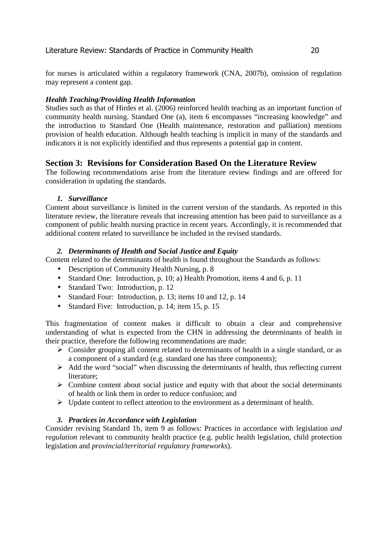for nurses is articulated within a regulatory framework (CNA, 2007b), omission of regulation may represent a content gap.

# *Health Teaching/Providing Health Information*

Studies such as that of Hirdes et al. (2006) reinforced health teaching as an important function of community health nursing. Standard One (a), item 6 encompasses "increasing knowledge" and the introduction to Standard One (Health maintenance, restoration and palliation) mentions provision of health education. Although health teaching is implicit in many of the standards and indicators it is not explicitly identified and thus represents a potential gap in content.

# **Section 3: Revisions for Consideration Based On the Literature Review**

The following recommendations arise from the literature review findings and are offered for consideration in updating the standards.

# *1. Surveillance*

Content about surveillance is limited in the current version of the standards. As reported in this literature review, the literature reveals that increasing attention has been paid to surveillance as a component of public health nursing practice in recent years. Accordingly, it is recommended that additional content related to surveillance be included in the revised standards.

# *2. Determinants of Health and Social Justice and Equity*

Content related to the determinants of health is found throughout the Standards as follows:

- Description of Community Health Nursing, p. 8
- Standard One: Introduction, p. 10; a) Health Promotion, items 4 and 6, p. 11
- Standard Two: Introduction, p. 12
- Standard Four: Introduction, p. 13; items 10 and 12, p. 14
- Standard Five: Introduction, p. 14; item 15, p. 15

This fragmentation of content makes it difficult to obtain a clear and comprehensive understanding of what is expected from the CHN in addressing the determinants of health in their practice, therefore the following recommendations are made:

- $\triangleright$  Consider grouping all content related to determinants of health in a single standard, or as a component of a standard (e.g. standard one has three components);
- $\triangleright$  Add the word "social" when discussing the determinants of health, thus reflecting current literature;
- $\triangleright$  Combine content about social justice and equity with that about the social determinants of health or link them in order to reduce confusion; and
- $\triangleright$  Update content to reflect attention to the environment as a determinant of health.

# *3. Practices in Accordance with Legislation*

Consider revising Standard 1b, item 9 as follows: Practices in accordance with legislation *and regulation* relevant to community health practice (e.g. public health legislation, child protection legislation and *provincial/territorial regulatory frameworks*).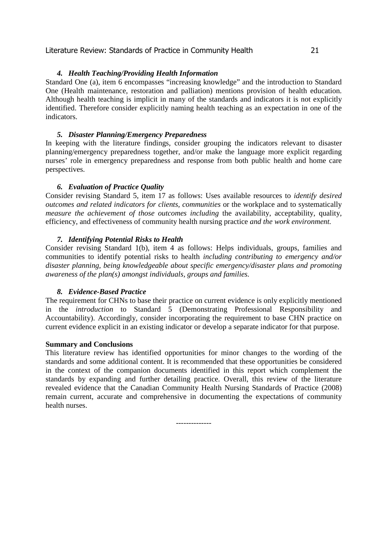# *4. Health Teaching/Providing Health Information*

Standard One (a), item 6 encompasses "increasing knowledge" and the introduction to Standard One (Health maintenance, restoration and palliation) mentions provision of health education. Although health teaching is implicit in many of the standards and indicators it is not explicitly identified. Therefore consider explicitly naming health teaching as an expectation in one of the indicators.

# *5. Disaster Planning/Emergency Preparedness*

In keeping with the literature findings, consider grouping the indicators relevant to disaster planning/emergency preparedness together, and/or make the language more explicit regarding nurses' role in emergency preparedness and response from both public health and home care perspectives.

# *6. Evaluation of Practice Quality*

Consider revising Standard 5, item 17 as follows: Uses available resources to *identify desired outcomes and related indicators for clients, communities* or the workplace and to systematically *measure the achievement of those outcomes including the availability, acceptability, quality,* efficiency, and effectiveness of community health nursing practice *and the work environment.* 

# *7. Identifying Potential Risks to Health*

Consider revising Standard 1(b), item 4 as follows: Helps individuals, groups, families and communities to identify potential risks to health *including contributing to emergency and/or disaster planning, being knowledgeable about specific emergency/disaster plans and promoting awareness of the plan(s) amongst individuals, groups and families.* 

### *8. Evidence-Based Practice*

The requirement for CHNs to base their practice on current evidence is only explicitly mentioned in the *introduction* to Standard 5 (Demonstrating Professional Responsibility and Accountability). Accordingly, consider incorporating the requirement to base CHN practice on current evidence explicit in an existing indicator or develop a separate indicator for that purpose.

### **Summary and Conclusions**

This literature review has identified opportunities for minor changes to the wording of the standards and some additional content. It is recommended that these opportunities be considered in the context of the companion documents identified in this report which complement the standards by expanding and further detailing practice. Overall, this review of the literature revealed evidence that the Canadian Community Health Nursing Standards of Practice (2008) remain current, accurate and comprehensive in documenting the expectations of community health nurses.

--------------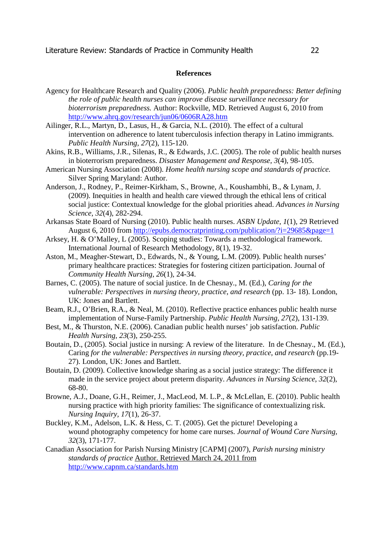# **References**

- Agency for Healthcare Research and Quality (2006). *Public health preparedness: Better defining the role of public health nurses can improve disease surveillance necessary for bioterrorism preparedness.* Author: Rockville, MD. Retrieved August 6, 2010 from http://www.ahrq.gov/research/jun06/0606RA28.htm
- Ailinger, R.L., Martyn, D., Lasus, H., & Garcia, N.L. (2010). The effect of a cultural intervention on adherence to latent tuberculosis infection therapy in Latino immigrants. *Public Health Nursing, 27*(2), 115-120.
- Akins, R.B., Williams, J.R., Silenas, R., & Edwards, J.C. (2005). The role of public health nurses in bioterrorism preparedness. *Disaster Management and Response, 3*(4), 98-105.
- American Nursing Association (2008). *Home health nursing scope and standards of practice.*  Silver Spring Maryland: Author.
- Anderson, J., Rodney, P., Reimer-Kirkham, S., Browne, A., Koushambhi, B., & Lynam, J. (2009). Inequities in health and health care viewed through the ethical lens of critical social justice: Contextual knowledge for the global priorities ahead. *Advances in Nursing Science*, *32*(4), 282-294.
- Arkansas State Board of Nursing (2010). Public health nurses. *ASBN Update, 1*(1), 29 Retrieved August 6, 2010 from http://epubs.democratprinting.com/publication/?i=29685&page=1
- Arksey, H. & O'Malley, L (2005). Scoping studies: Towards a methodological framework. International Journal of Research Methodology, 8(1), 19-32.
- Aston, M., Meagher-Stewart, D., Edwards, N., & Young, L.M. (2009). Public health nurses' primary healthcare practices: Strategies for fostering citizen participation. Journal of *Community Health Nursing, 26*(1), 24-34.
- Barnes, C. (2005). The nature of social justice. In de Chesnay., M. (Ed.), *Caring for the vulnerable: Perspectives in nursing theory, practice, and research (pp. 13-18). London,* UK: Jones and Bartlett.
- Beam, R.J., O'Brien, R.A., & Neal, M. (2010). Reflective practice enhances public health nurse implementation of Nurse-Family Partnership. *Public Health Nursing, 27*(2), 131-139.
- Best, M., & Thurston, N.E. (2006). Canadian public health nurses' job satisfaction. *Public Health Nursing, 23*(3), 250-255.
- Boutain, D., (2005). Social justice in nursing: A review of the literature. In de Chesnay., M. (Ed.), Caring *for the vulnerable: Perspectives in nursing theory, practice, and research* (pp.19- 27). London, UK: Jones and Bartlett.
- Boutain, D. (2009). Collective knowledge sharing as a social justice strategy: The difference it made in the service project about preterm disparity. *Advances in Nursing Science*, *32*(2), 68-80.
- Browne, A.J., Doane, G.H., Reimer, J., MacLeod, M. L.P., & McLellan, E. (2010). Public health nursing practice with high priority families: The significance of contextualizing risk. *Nursing Inquiry, 17*(1), 26-37.
- Buckley, K.M., Adelson, L.K. & Hess, C. T. (2005). Get the picture! Developing a wound photography competency for home care nurses. *Journal of Wound Care Nursing, 32*(3), 171-177.
- Canadian Association for Parish Nursing Ministry [CAPM] (2007), *Parish nursing ministry standards of practice* Author. Retrieved March 24, 2011 from http://www.capnm.ca/standards.htm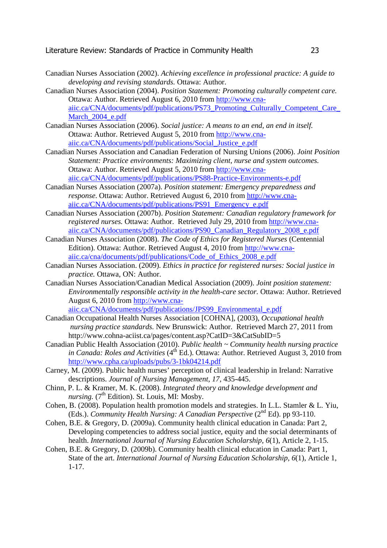- Canadian Nurses Association (2002). *Achieving excellence in professional practice: A guide to developing and revising standards.* Ottawa: Author.
- Canadian Nurses Association (2004). *Position Statement: Promoting culturally competent care.* Ottawa: Author. Retrieved August 6, 2010 from http://www.cnaaiic.ca/CNA/documents/pdf/publications/PS73\_Promoting\_Culturally\_Competent\_Care\_ March\_2004\_e.pdf
- Canadian Nurses Association (2006). *Social justice: A means to an end, an end in itself.* Ottawa: Author. Retrieved August 5, 2010 from http://www.cnaaiic.ca/CNA/documents/pdf/publications/Social\_Justice\_e.pdf
- Canadian Nurses Association and Canadian Federation of Nursing Unions (2006). *Joint Position Statement: Practice environments: Maximizing client, nurse and system outcomes.* Ottawa: Author. Retrieved August 5, 2010 from http://www.cnaaiic.ca/CNA/documents/pdf/publications/PS88-Practice-Environments-e.pdf
- Canadian Nurses Association (2007a). *Position statement: Emergency preparedness and response*. Ottawa: Author. Retrieved August 6, 2010 from http://www.cnaaiic.ca/CNA/documents/pdf/publications/PS91\_Emergency\_e.pdf
- Canadian Nurses Association (2007b). *Position Statement: Canadian regulatory framework for registered nurses.* Ottawa: Author. Retrieved July 29, 2010 from http://www.cnaaiic.ca/CNA/documents/pdf/publications/PS90\_Canadian\_Regulatory\_2008\_e.pdf
- Canadian Nurses Association (2008). *The Code of Ethics for Registered Nurses* (Centennial Edition). Ottawa: Author. Retrieved August 4, 2010 from http://www.cnaaiic.ca/cna/documents/pdf/publications/Code\_of\_Ethics\_2008\_e.pdf
- Canadian Nurses Association. (2009). *Ethics in practice for registered nurses: Social justice in practice.* Ottawa, ON: Author.
- Canadian Nurses Association/Canadian Medical Association (2009). *Joint position statement: Environmentally responsible activity in the health-care sector.* Ottawa: Author. Retrieved August 6, 2010 from http://www.cnaaiic.ca/CNA/documents/pdf/publications/JPS99\_Environmental\_e.pdf
- Canadian Occupational Health Nurses Association [COHNA], (2003), *Occupational health nursing practice standards.* New Brunswick: Author.Retrieved March 27, 2011 from http://www.cohna-aciist.ca/pages/content.asp?CatID=3&CatSubID=5
- Canadian Public Health Association (2010). *Public health ~ Community health nursing practice in Canada: Roles and Activities* (4<sup>th</sup> Ed.). Ottawa: Author. Retrieved August 3, 2010 from http://www.cpha.ca/uploads/pubs/3-1bk04214.pdf
- Carney, M. (2009). Public health nurses' perception of clinical leadership in Ireland: Narrative descriptions. *Journal of Nursing Management, 17,* 435-445.
- Chinn, P. L. & Kramer, M. K. (2008). *Integrated theory and knowledge development and nursing.* (7<sup>th</sup> Edition). St. Louis, MI: Mosby.
- Cohen, B. (2008). Population health promotion models and strategies. In L.L. Stamler & L. Yiu, (Eds.). *Community Health Nursing: A Canadian Perspective* (2nd Ed). pp 93-110.
- Cohen, B.E. & Gregory, D. (2009a). Community health clinical education in Canada: Part 2, Developing competencies to address social justice, equity and the social determinants of health. *International Journal of Nursing Education Scholarship, 6*(1), Article 2, 1-15.
- Cohen, B.E. & Gregory, D. (2009b). Community health clinical education in Canada: Part 1, State of the art. *International Journal of Nursing Education Scholarship, 6*(1), Article 1, 1-17.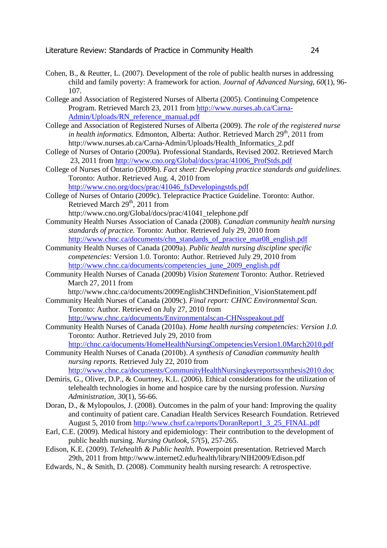- Cohen, B., & Reutter, L. (2007). Development of the role of public health nurses in addressing child and family poverty: A framework for action. *Journal of Advanced Nursing, 60*(1), 96- 107.
- College and Association of Registered Nurses of Alberta (2005). Continuing Competence Program. Retrieved March 23, 2011 from http://www.nurses.ab.ca/Carna-Admin/Uploads/RN\_reference\_manual.pdf
- College and Association of Registered Nurses of Alberta (2009). *The role of the registered nurse in health informatics.* Edmonton, Alberta: Author. Retrieved March 29<sup>th</sup>, 2011 from http://www.nurses.ab.ca/Carna-Admin/Uploads/Health\_Informatics\_2.pdf
- College of Nurses of Ontario (2009a). Professional Standards, Revised 2002. Retrieved March 23, 2011 from http://www.cno.org/Global/docs/prac/41006\_ProfStds.pdf
- College of Nurses of Ontario (2009b). *Fact sheet: Developing practice standards and guidelines.*  Toronto: Author. Retrieved Aug. 4, 2010 from http://www.cno.org/docs/prac/41046\_fsDevelopingstds.pdf
- College of Nurses of Ontario (2009c). Telepractice Practice Guideline. Toronto: Author. Retrieved March  $29<sup>th</sup>$ , 2011 from
	- http://www.cno.org/Global/docs/prac/41041\_telephone.pdf
- Community Health Nurses Association of Canada (2008). *Canadian community health nursing standards of practice.* Toronto: Author. Retrieved July 29, 2010 from http://www.chnc.ca/documents/chn\_standards\_of\_practice\_mar08\_english.pdf
- Community Health Nurses of Canada (2009a). *Public health nursing discipline specific competencies:* Version 1.0. Toronto: Author. Retrieved July 29, 2010 from http://www.chnc.ca/documents/competencies\_june\_2009\_english.pdf
- Community Health Nurses of Canada (2009b) *Vision Statement* Toronto: Author. Retrieved March 27, 2011 from
	- http://www.chnc.ca/documents/2009EnglishCHNDefinition\_VisionStatement.pdf
- Community Health Nurses of Canada (2009c). *Final report: CHNC Environmental Scan.* Toronto: Author. Retrieved on July 27, 2010 from
	- http://www.chnc.ca/documents/Environmentalscan-CHNsspeakout.pdf
- Community Health Nurses of Canada (2010a). *Home health nursing competencies: Version 1.0.*  Toronto: Author. Retrieved July 29, 2010 from

http://chnc.ca/documents/HomeHealthNursingCompetenciesVersion1.0March2010.pdf

Community Health Nurses of Canada (2010b). *A synthesis of Canadian community health nursing reports.* Retrieved July 22, 2010 from

http://www.chnc.ca/documents/CommunityHealthNursingkeyreportssynthesis2010.doc

- Demiris, G., Oliver, D.P., & Courtney, K.L. (2006). Ethical considerations for the utilization of telehealth technologies in home and hospice care by the nursing profession. *Nursing Administration, 30*(1), 56-66.
- Doran, D., & Mylopoulos, J. (2008). Outcomes in the palm of your hand: Improving the quality and continuity of patient care. Canadian Health Services Research Foundation. Retrieved August 5, 2010 from http://www.chsrf.ca/reports/DoranReport1\_3\_25\_FINAL.pdf
- Earl, C.E. (2009). Medical history and epidemiology: Their contribution to the development of public health nursing. *Nursing Outlook, 57*(5), 257-265.
- Edison, K.E. (2009). *Telehealth & Public health.* Powerpoint presentation. Retrieved March 29th, 2011 from http://www.internet2.edu/health/library/NIH2009/Edison.pdf
- Edwards, N., & Smith, D. (2008). Community health nursing research: A retrospective.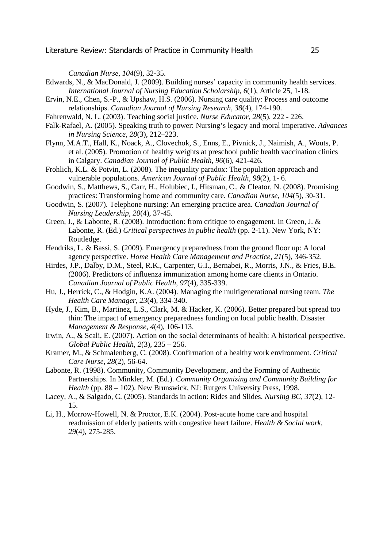*Canadian Nurse, 104*(9), 32-35.

- Edwards, N., & MacDonald, J. (2009). Building nurses' capacity in community health services. *International Journal of Nursing Education Scholarship, 6*(1), Article 25, 1-18.
- Ervin, N.E., Chen, S.-P., & Upshaw, H.S. (2006). Nursing care quality: Process and outcome relationships. *Canadian Journal of Nursing Research, 38*(4), 174-190.
- Fahrenwald, N. L. (2003). Teaching social justice. *Nurse Educator, 28*(5), 222 226.
- Falk-Rafael, A. (2005). Speaking truth to power: Nursing's legacy and moral imperative. *Advances in Nursing Science, 28*(3), 212–223.
- Flynn, M.A.T., Hall, K., Noack, A., Clovechok, S., Enns, E., Pivnick, J., Naimish, A., Wouts, P. et al. (2005). Promotion of healthy weights at preschool public health vaccination clinics in Calgary. *Canadian Journal of Public Health, 96*(6), 421-426.
- Frohlich, K.L. & Potvin, L. (2008). The inequality paradox: The population approach and vulnerable populations. *American Journal of Public Health, 98*(2), 1- 6.
- Goodwin, S., Matthews, S., Carr, H., Holubiec, I., Hitsman, C., & Cleator, N. (2008). Promising practices: Transforming home and community care. *Canadian Nurse, 104*(5), 30-31.
- Goodwin, S. (2007). Telephone nursing: An emerging practice area. *Canadian Journal of Nursing Leadership, 20*(4), 37-45.
- Green, J., & Labonte, R. (2008). Introduction: from critique to engagement. In Green, J. & Labonte, R. (Ed.) *Critical perspectives in public health* (pp. 2-11). New York, NY: Routledge.
- Hendriks, L. & Bassi, S. (2009). Emergency preparedness from the ground floor up: A local agency perspective. *Home Health Care Management and Practice, 21*(5), 346-352.
- Hirdes, J.P., Dalby, D.M., Steel, R.K., Carpenter, G.I., Bernabei, R., Morris, J.N., & Fries, B.E. (2006). Predictors of influenza immunization among home care clients in Ontario. *Canadian Journal of Public Health, 97*(4), 335-339.
- Hu, J., Herrick, C., & Hodgin, K.A. (2004). Managing the multigenerational nursing team. *The Health Care Manager, 23*(4), 334-340.
- Hyde, J., Kim, B., Martinez, L.S., Clark, M. & Hacker, K. (2006). Better prepared but spread too thin: The impact of emergency preparedness funding on local public health. Disaster *Management & Response, 4*(4), 106-113.
- Irwin, A., & Scali, E. (2007). Action on the social determinants of health: A historical perspective. *Global Public Health, 2*(3), 235 – 256.
- Kramer, M., & Schmalenberg, C. (2008). Confirmation of a healthy work environment. *Critical Care Nurse, 28*(2), 56-64.
- Labonte, R. (1998). Community, Community Development, and the Forming of Authentic Partnerships. In Minkler, M. (Ed.). *Community Organizing and Community Building for Health* (pp. 88 – 102). New Brunswick, NJ: Rutgers University Press, 1998.
- Lacey, A., & Salgado, C. (2005). Standards in action: Rides and Slides. *Nursing BC, 37*(2), 12- 15.
- Li, H., Morrow-Howell, N. & Proctor, E.K. (2004). Post-acute home care and hospital readmission of elderly patients with congestive heart failure. *Health & Social work, 29*(4), 275-285.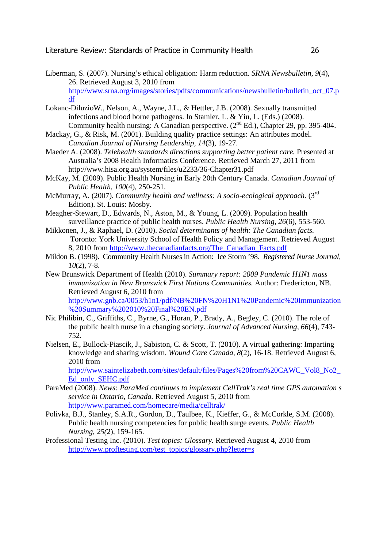- Liberman, S. (2007). Nursing's ethical obligation: Harm reduction. *SRNA Newsbulletin, 9*(4), 26. Retrieved August 3, 2010 from http://www.srna.org/images/stories/pdfs/communications/newsbulletin/bulletin\_oct\_07.p df
- Lokanc-DiluzioW., Nelson, A., Wayne, J.L., & Hettler, J.B. (2008). Sexually transmitted infections and blood borne pathogens. In Stamler, L. & Yiu, L. (Eds.) (2008). Community health nursing: A Canadian perspective.  $(2<sup>nd</sup> Ed.)$ , Chapter 29, pp. 395-404.
- Mackay, G., & Risk, M. (2001). Building quality practice settings: An attributes model. *Canadian Journal of Nursing Leadership, 14*(3), 19-27.
- Maeder A. (2008). *Telehealth standards directions supporting better patient care.* Presented at Australia's 2008 Health Informatics Conference. Retrieved March 27, 2011 from http://www.hisa.org.au/system/files/u2233/36-Chapter31.pdf
- McKay, M. (2009). Public Health Nursing in Early 20th Century Canada. *Canadian Journal of Public Health, 100*(4), 250-251.
- McMurray, A. (2007). *Community health and wellness: A socio-ecological approach.* (3rd Edition). St. Louis: Mosby.
- Meagher-Stewart, D., Edwards, N., Aston, M., & Young, L. (2009). Population health surveillance practice of public health nurses. *Public Health Nursing, 26*(6), 553-560.
- Mikkonen, J., & Raphael, D. (2010). *Social determinants of health: The Canadian facts.*  Toronto: York University School of Health Policy and Management. Retrieved August 8, 2010 from http://www.thecanadianfacts.org/The\_Canadian\_Facts.pdf
- Mildon B. (1998). Community Health Nurses in Action: Ice Storm '98. *Registered Nurse Journal, 10*(2), 7-8.
- New Brunswick Department of Health (2010). *Summary report: 2009 Pandemic H1N1 mass immunization in New Brunswick First Nations Communities.* Author: Fredericton, NB. Retrieved August 6, 2010 from http://www.gnb.ca/0053/h1n1/pdf/NB%20FN%20H1N1%20Pandemic%20Immunization %20Summary%202010%20Final%20EN.pdf
- Nic Philibin, C., Griffiths, C., Byrne, G., Horan, P., Brady, A., Begley, C. (2010). The role of the public health nurse in a changing society. *Journal of Advanced Nursing, 66*(4), 743- 752.
- Nielsen, E., Bullock-Piascik, J., Sabiston, C. & Scott, T. (2010). A virtual gathering: Imparting knowledge and sharing wisdom. *Wound Care Canada, 8*(2), 16-18. Retrieved August 6, 2010 from

http://www.saintelizabeth.com/sites/default/files/Pages%20from%20CAWC\_Vol8\_No2\_ Ed\_only\_SEHC.pdf

- ParaMed (2008). *News: ParaMed continues to implement CellTrak's real time GPS automation s service in Ontario, Canada.* Retrieved August 5, 2010 from http://www.paramed.com/homecare/media/celltrak/
- Polivka, B.J., Stanley, S.A.R., Gordon, D., Taulbee, K., Kieffer, G., & McCorkle, S.M. (2008). Public health nursing competencies for public health surge events. *Public Health Nursing, 25(*2), 159-165.
- Professional Testing Inc. (2010). *Test topics: Glossary.* Retrieved August 4, 2010 from http://www.proftesting.com/test\_topics/glossary.php?letter=s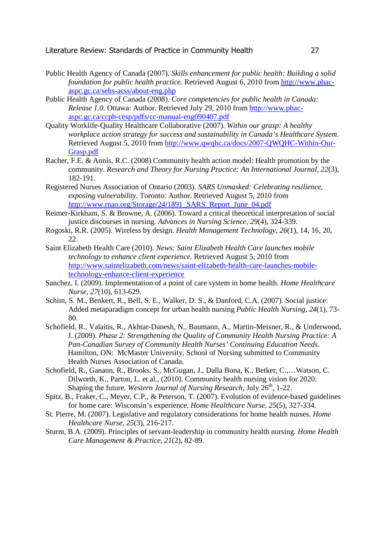- Public Health Agency of Canada (2007). *Skills enhancement for public health: Building a solid foundation for public health practice.* Retrieved August 6, 2010 from http://www.phacaspc.gc.ca/sehs-acss/about-eng.php
- Public Health Agency of Canada (2008). *Core competencies for public health in Canada: Release 1.0.* Ottawa: Author. Retrieved July 29, 2010 from http://www.phacaspc.gc.ca/ccph-cesp/pdfs/cc-manual-eng090407.pdf
- Quality Worklife-Quality Healthcare Collaborative (2007). *Within our grasp: A healthy workplace action strategy for success and sustainability in Canada's Healthcare System.* Retrieved August 5, 2010 from http://www.qwqhc.ca/docs/2007-QWQHC-Within-Our-Grasp.pdf
- Racher, F.E. & Annis, R.C. (2008) Community health action model: Health promotion by the community. *Research and Theory for Nursing Practice: An International Journal, 22*(3), 182-191.
- Registered Nurses Association of Ontario (2003). *SARS Unmasked: Celebrating resilience, exposing vulnerability.* Toronto: Author. Retrieved August 5, 2010 from http://www.rnao.org/Storage/24/1891\_SARS\_Report\_June\_04.pdf
- Reimer-Kirkham, S. & Browne, A. (2006). Toward a critical theoretical interpretation of social justice discourses in nursing. *Advances in Nursing Science, 29*(4), 324-339.
- Rogoski, R.R. (2005). Wireless by design. *Health Management Technology, 26*(1), 14, 16, 20, 22.
- Saint Elizabeth Health Care (2010). *News: Saint Elizabeth Health Care launches mobile technology to enhance client experience.* Retrieved August 5, 2010 from http://www.saintelizabeth.com/news/saint-elizabeth-health-care-launches-mobiletechnology-enhance-client-experience
- Sanchez, I. (2009). Implementation of a point of care system in home health. *Home Healthcare Nurse, 27*(10), 613-629.
- Schim, S. M., Benkert, R., Bell, S. E., Walker, D. S., & Danford, C.A. (2007). Social justice: Added metaparadigm concept for urban health nursing *Public Health Nursing, 24*(1), 73- 80.
- Schofield, R., Valaitis, R., Akhtar-Danesh, N., Baumann, A., Martin-Meisner, R., & Underwood, J. (2009). *Phase 2: Strengthening the Quality of Community Health Nursing Practice: A Pan-Canadian Survey of Community Health Nurses' Continuing Education Needs*. Hamilton, ON: McMaster University, School of Nursing submitted to Community Health Nurses Association of Canada.
- Schofield, R., Ganann, R., Brooks, S., McGugan, J., Dalla Bona, K., Betker, C.,…Watson, C. Dilworth, K., Parton, L. et al., (2010). Community health nursing vision for 2020: Shaping the future. *Western Journal of Nursing Research*, July 26<sup>th</sup>, 1-22.
- Spitz, B., Fraker, C., Meyer, C.P., & Peterson, T. (2007). Evolution of evidence-based guidelines for home care: Wisconsin's experience. *Home Healthcare Nurse, 25*(5), 327-334.
- St. Pierre, M. (2007). Legislative and regulatory considerations for home health nurses. *Home Healthcare Nurse, 25*(3), 216-217.
- Sturm, B.A. (2009). Principles of servant-leadership in community health nursing. *Home Health Care Management & Practice, 21*(2), 82-89.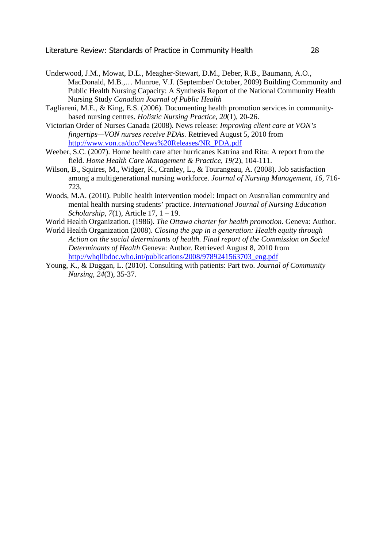- Underwood, J.M., Mowat, D.L., Meagher-Stewart, D.M., Deber, R.B., Baumann, A.O., MacDonald, M.B.,… Munroe, V.J. (September/ October, 2009) Building Community and Public Health Nursing Capacity: A Synthesis Report of the National Community Health Nursing Study *Canadian Journal of Public Health*
- Tagliareni, M.E., & King, E.S. (2006). Documenting health promotion services in community based nursing centres. *Holistic Nursing Practice, 20*(1), 20-26.
- Victorian Order of Nurses Canada (2008). News release: *Improving client care at VON's fingertips—VON nurses receive PDAs.* Retrieved August 5, 2010 from http://www.von.ca/doc/News%20Releases/NR\_PDA.pdf
- Weeber, S.C. (2007). Home health care after hurricanes Katrina and Rita: A report from the field. *Home Health Care Management & Practice, 19(*2), 104-111.
- Wilson, B., Squires, M., Widger, K., Cranley, L., & Tourangeau, A. (2008). Job satisfaction among a multigenerational nursing workforce. *Journal of Nursing Management, 16,* 716- 723.
- Woods, M.A. (2010). Public health intervention model: Impact on Australian community and mental health nursing students' practice. *International Journal of Nursing Education Scholarship, 7*(1), Article 17, 1 – 19.
- World Health Organization. (1986). *The Ottawa charter for health promotion.* Geneva: Author.
- World Health Organization (2008). *Closing the gap in a generation: Health equity through Action on the social determinants of health. Final report of the Commission on Social Determinants of Health* Geneva: Author. Retrieved August 8, 2010 from http://whqlibdoc.who.int/publications/2008/9789241563703\_eng.pdf
- Young, K., & Duggan, L. (2010). Consulting with patients: Part two. *Journal of Community Nursing, 24*(3), 35-37.